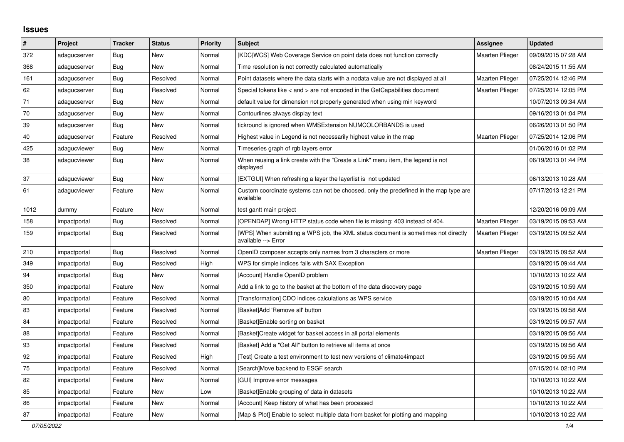## **Issues**

| #    | Project      | <b>Tracker</b> | <b>Status</b> | <b>Priority</b> | <b>Subject</b>                                                                                            | Assignee               | <b>Updated</b>      |
|------|--------------|----------------|---------------|-----------------|-----------------------------------------------------------------------------------------------------------|------------------------|---------------------|
| 372  | adagucserver | <b>Bug</b>     | New           | Normal          | [KDC WCS] Web Coverage Service on point data does not function correctly                                  | <b>Maarten Plieger</b> | 09/09/2015 07:28 AM |
| 368  | adagucserver | <b>Bug</b>     | <b>New</b>    | Normal          | Time resolution is not correctly calculated automatically                                                 |                        | 08/24/2015 11:55 AM |
| 161  | adagucserver | <b>Bug</b>     | Resolved      | Normal          | Point datasets where the data starts with a nodata value are not displayed at all                         | <b>Maarten Plieger</b> | 07/25/2014 12:46 PM |
| 62   | adagucserver | Bug            | Resolved      | Normal          | Special tokens like < and > are not encoded in the GetCapabilities document                               | <b>Maarten Plieger</b> | 07/25/2014 12:05 PM |
| 71   | adagucserver | <b>Bug</b>     | New           | Normal          | default value for dimension not properly generated when using min keyword                                 |                        | 10/07/2013 09:34 AM |
| 70   | adagucserver | Bug            | New           | Normal          | Contourlines always display text                                                                          |                        | 09/16/2013 01:04 PM |
| 39   | adagucserver | <b>Bug</b>     | New           | Normal          | tickround is ignored when WMSExtension NUMCOLORBANDS is used                                              |                        | 06/26/2013 01:50 PM |
| 40   | adagucserver | Feature        | Resolved      | Normal          | Highest value in Legend is not necessarily highest value in the map                                       | Maarten Plieger        | 07/25/2014 12:06 PM |
| 425  | adagucviewer | Bug            | New           | Normal          | Timeseries graph of rgb layers error                                                                      |                        | 01/06/2016 01:02 PM |
| 38   | adagucviewer | Bug            | New           | Normal          | When reusing a link create with the "Create a Link" menu item, the legend is not<br>displayed             |                        | 06/19/2013 01:44 PM |
| 37   | adagucviewer | Bug            | New           | Normal          | [EXTGUI] When refreshing a layer the layerlist is not updated                                             |                        | 06/13/2013 10:28 AM |
| 61   | adagucviewer | Feature        | New           | Normal          | Custom coordinate systems can not be choosed, only the predefined in the map type are<br>available        |                        | 07/17/2013 12:21 PM |
| 1012 | dummy        | Feature        | New           | Normal          | test gantt main project                                                                                   |                        | 12/20/2016 09:09 AM |
| 158  | impactportal | <b>Bug</b>     | Resolved      | Normal          | [OPENDAP] Wrong HTTP status code when file is missing: 403 instead of 404.                                | Maarten Plieger        | 03/19/2015 09:53 AM |
| 159  | impactportal | Bug            | Resolved      | Normal          | [WPS] When submitting a WPS job, the XML status document is sometimes not directly<br>available --> Error | Maarten Plieger        | 03/19/2015 09:52 AM |
| 210  | impactportal | Bug            | Resolved      | Normal          | OpenID composer accepts only names from 3 characters or more                                              | <b>Maarten Plieger</b> | 03/19/2015 09:52 AM |
| 349  | impactportal | <b>Bug</b>     | Resolved      | High            | WPS for simple indices fails with SAX Exception                                                           |                        | 03/19/2015 09:44 AM |
| 94   | impactportal | Bug            | New           | Normal          | [Account] Handle OpenID problem                                                                           |                        | 10/10/2013 10:22 AM |
| 350  | impactportal | Feature        | <b>New</b>    | Normal          | Add a link to go to the basket at the bottom of the data discovery page                                   |                        | 03/19/2015 10:59 AM |
| 80   | impactportal | Feature        | Resolved      | Normal          | [Transformation] CDO indices calculations as WPS service                                                  |                        | 03/19/2015 10:04 AM |
| 83   | impactportal | Feature        | Resolved      | Normal          | [Basket]Add 'Remove all' button                                                                           |                        | 03/19/2015 09:58 AM |
| 84   | impactportal | Feature        | Resolved      | Normal          | [Basket]Enable sorting on basket                                                                          |                        | 03/19/2015 09:57 AM |
| 88   | impactportal | Feature        | Resolved      | Normal          | [Basket]Create widget for basket access in all portal elements                                            |                        | 03/19/2015 09:56 AM |
| 93   | impactportal | Feature        | Resolved      | Normal          | [Basket] Add a "Get All" button to retrieve all items at once                                             |                        | 03/19/2015 09:56 AM |
| 92   | impactportal | Feature        | Resolved      | High            | [Test] Create a test environment to test new versions of climate4impact                                   |                        | 03/19/2015 09:55 AM |
| 75   | impactportal | Feature        | Resolved      | Normal          | [Search]Move backend to ESGF search                                                                       |                        | 07/15/2014 02:10 PM |
| 82   | impactportal | Feature        | New           | Normal          | [GUI] Improve error messages                                                                              |                        | 10/10/2013 10:22 AM |
| 85   | impactportal | Feature        | New           | Low             | [Basket] Enable grouping of data in datasets                                                              |                        | 10/10/2013 10:22 AM |
| 86   | impactportal | Feature        | New           | Normal          | [Account] Keep history of what has been processed                                                         |                        | 10/10/2013 10:22 AM |
| 87   | impactportal | Feature        | <b>New</b>    | Normal          | [Map & Plot] Enable to select multiple data from basket for plotting and mapping                          |                        | 10/10/2013 10:22 AM |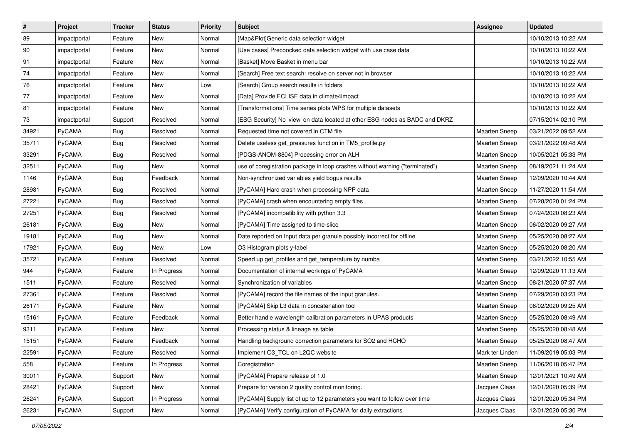| $\vert$ # | Project       | <b>Tracker</b> | <b>Status</b> | <b>Priority</b> | <b>Subject</b>                                                               | <b>Assignee</b>      | <b>Updated</b>      |
|-----------|---------------|----------------|---------------|-----------------|------------------------------------------------------------------------------|----------------------|---------------------|
| 89        | impactportal  | Feature        | New           | Normal          | [Map&Plot]Generic data selection widget                                      |                      | 10/10/2013 10:22 AM |
| 90        | impactportal  | Feature        | <b>New</b>    | Normal          | [Use cases] Precoocked data selection widget with use case data              |                      | 10/10/2013 10:22 AM |
| 91        | impactportal  | Feature        | New           | Normal          | [Basket] Move Basket in menu bar                                             |                      | 10/10/2013 10:22 AM |
| 74        | impactportal  | Feature        | New           | Normal          | [Search] Free text search: resolve on server not in browser                  |                      | 10/10/2013 10:22 AM |
| 76        | impactportal  | Feature        | New           | Low             | [Search] Group search results in folders                                     |                      | 10/10/2013 10:22 AM |
| 77        | impactportal  | Feature        | New           | Normal          | [Data] Provide ECLISE data in climate4impact                                 |                      | 10/10/2013 10:22 AM |
| 81        | impactportal  | Feature        | <b>New</b>    | Normal          | [Transformations] Time series plots WPS for multiple datasets                |                      | 10/10/2013 10:22 AM |
| 73        | impactportal  | Support        | Resolved      | Normal          | [ESG Security] No 'view' on data located at other ESG nodes as BADC and DKRZ |                      | 07/15/2014 02:10 PM |
| 34921     | PyCAMA        | Bug            | Resolved      | Normal          | Requested time not covered in CTM file                                       | Maarten Sneep        | 03/21/2022 09:52 AM |
| 35711     | PyCAMA        | Bug            | Resolved      | Normal          | Delete useless get_pressures function in TM5_profile.py                      | Maarten Sneep        | 03/21/2022 09:48 AM |
| 33291     | PyCAMA        | Bug            | Resolved      | Normal          | [PDGS-ANOM-8804] Processing error on ALH                                     | <b>Maarten Sneep</b> | 10/05/2021 05:33 PM |
| 32511     | PyCAMA        | <b>Bug</b>     | New           | Normal          | use of coregistration package in loop crashes without warning ("terminated") | Maarten Sneep        | 08/19/2021 11:24 AM |
| 1146      | PyCAMA        | <b>Bug</b>     | Feedback      | Normal          | Non-synchronized variables yield bogus results                               | Maarten Sneep        | 12/09/2020 10:44 AM |
| 28981     | PyCAMA        | <b>Bug</b>     | Resolved      | Normal          | [PyCAMA] Hard crash when processing NPP data                                 | Maarten Sneep        | 11/27/2020 11:54 AM |
| 27221     | PyCAMA        | <b>Bug</b>     | Resolved      | Normal          | [PyCAMA] crash when encountering empty files                                 | <b>Maarten Sneep</b> | 07/28/2020 01:24 PM |
| 27251     | <b>PyCAMA</b> | Bug            | Resolved      | Normal          | [PyCAMA] incompatibility with python 3.3                                     | Maarten Sneep        | 07/24/2020 08:23 AM |
| 26181     | PyCAMA        | Bug            | New           | Normal          | [PyCAMA] Time assigned to time-slice                                         | <b>Maarten Sneep</b> | 06/02/2020 09:27 AM |
| 19181     | PyCAMA        | <b>Bug</b>     | New           | Normal          | Date reported on Input data per granule possibly incorrect for offline       | Maarten Sneep        | 05/25/2020 08:27 AM |
| 17921     | PyCAMA        | <b>Bug</b>     | New           | Low             | O3 Histogram plots y-label                                                   | Maarten Sneep        | 05/25/2020 08:20 AM |
| 35721     | PyCAMA        | Feature        | Resolved      | Normal          | Speed up get_profiles and get_temperature by numba                           | Maarten Sneep        | 03/21/2022 10:55 AM |
| 944       | <b>PyCAMA</b> | Feature        | In Progress   | Normal          | Documentation of internal workings of PyCAMA                                 | Maarten Sneep        | 12/09/2020 11:13 AM |
| 1511      | PyCAMA        | Feature        | Resolved      | Normal          | Synchronization of variables                                                 | Maarten Sneep        | 08/21/2020 07:37 AM |
| 27361     | PyCAMA        | Feature        | Resolved      | Normal          | [PyCAMA] record the file names of the input granules.                        | Maarten Sneep        | 07/29/2020 03:23 PM |
| 26171     | PyCAMA        | Feature        | New           | Normal          | [PyCAMA] Skip L3 data in concatenation tool                                  | <b>Maarten Sneep</b> | 06/02/2020 09:25 AM |
| 15161     | PyCAMA        | Feature        | Feedback      | Normal          | Better handle wavelength calibration parameters in UPAS products             | Maarten Sneep        | 05/25/2020 08:49 AM |
| 9311      | <b>PyCAMA</b> | Feature        | New           | Normal          | Processing status & lineage as table                                         | <b>Maarten Sneep</b> | 05/25/2020 08:48 AM |
| 15151     | PyCAMA        | Feature        | Feedback      | Normal          | Handling background correction parameters for SO2 and HCHO                   | <b>Maarten Sneep</b> | 05/25/2020 08:47 AM |
| 22591     | PyCAMA        | Feature        | Resolved      | Normal          | Implement O3_TCL on L2QC website                                             | Mark ter Linden      | 11/09/2019 05:03 PM |
| 558       | <b>PyCAMA</b> | Feature        | In Progress   | Normal          | Coregistration                                                               | <b>Maarten Sneep</b> | 11/06/2018 05:47 PM |
| 30011     | PyCAMA        | Support        | New           | Normal          | [PyCAMA] Prepare release of 1.0                                              | Maarten Sneep        | 12/01/2021 10:49 AM |
| 28421     | PyCAMA        | Support        | New           | Normal          | Prepare for version 2 quality control monitoring.                            | Jacques Claas        | 12/01/2020 05:39 PM |
| 26241     | PyCAMA        | Support        | In Progress   | Normal          | [PyCAMA] Supply list of up to 12 parameters you want to follow over time     | Jacques Claas        | 12/01/2020 05:34 PM |
| 26231     | PyCAMA        | Support        | New           | Normal          | [PyCAMA] Verify configuration of PyCAMA for daily extractions                | Jacques Claas        | 12/01/2020 05:30 PM |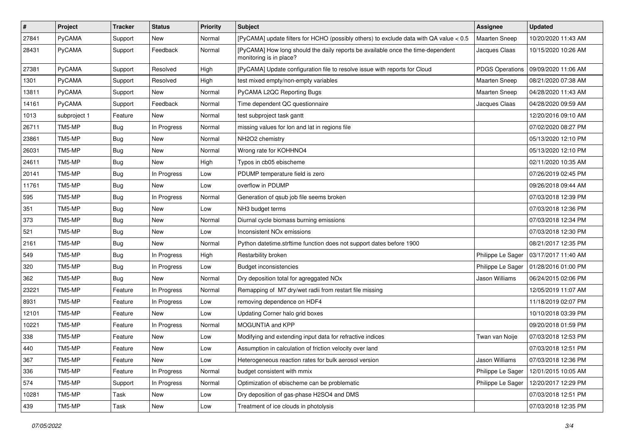| $\pmb{\#}$ | Project       | <b>Tracker</b> | <b>Status</b> | <b>Priority</b> | Subject                                                                                                    | <b>Assignee</b>      | <b>Updated</b>      |
|------------|---------------|----------------|---------------|-----------------|------------------------------------------------------------------------------------------------------------|----------------------|---------------------|
| 27841      | PyCAMA        | Support        | New           | Normal          | [PyCAMA] update filters for HCHO (possibly others) to exclude data with QA value < 0.5                     | Maarten Sneep        | 10/20/2020 11:43 AM |
| 28431      | PyCAMA        | Support        | Feedback      | Normal          | [PyCAMA] How long should the daily reports be available once the time-dependent<br>monitoring is in place? | Jacques Claas        | 10/15/2020 10:26 AM |
| 27381      | PyCAMA        | Support        | Resolved      | High            | [PyCAMA] Update configuration file to resolve issue with reports for Cloud                                 | PDGS Operations      | 09/09/2020 11:06 AM |
| 1301       | PyCAMA        | Support        | Resolved      | High            | test mixed empty/non-empty variables                                                                       | Maarten Sneep        | 08/21/2020 07:38 AM |
| 13811      | <b>PyCAMA</b> | Support        | New           | Normal          | PyCAMA L2QC Reporting Bugs                                                                                 | <b>Maarten Sneep</b> | 04/28/2020 11:43 AM |
| 14161      | PyCAMA        | Support        | Feedback      | Normal          | Time dependent QC questionnaire                                                                            | Jacques Claas        | 04/28/2020 09:59 AM |
| 1013       | subproject 1  | Feature        | New           | Normal          | test subproject task gantt                                                                                 |                      | 12/20/2016 09:10 AM |
| 26711      | TM5-MP        | <b>Bug</b>     | In Progress   | Normal          | missing values for lon and lat in regions file                                                             |                      | 07/02/2020 08:27 PM |
| 23861      | TM5-MP        | Bug            | New           | Normal          | NH2O2 chemistry                                                                                            |                      | 05/13/2020 12:10 PM |
| 26031      | TM5-MP        | <b>Bug</b>     | New           | Normal          | Wrong rate for KOHHNO4                                                                                     |                      | 05/13/2020 12:10 PM |
| 24611      | TM5-MP        | Bug            | New           | High            | Typos in cb05 ebischeme                                                                                    |                      | 02/11/2020 10:35 AM |
| 20141      | TM5-MP        | <b>Bug</b>     | In Progress   | Low             | PDUMP temperature field is zero                                                                            |                      | 07/26/2019 02:45 PM |
| 11761      | TM5-MP        | <b>Bug</b>     | New           | Low             | overflow in PDUMP                                                                                          |                      | 09/26/2018 09:44 AM |
| 595        | TM5-MP        | <b>Bug</b>     | In Progress   | Normal          | Generation of gsub job file seems broken                                                                   |                      | 07/03/2018 12:39 PM |
| 351        | TM5-MP        | <b>Bug</b>     | New           | Low             | NH3 budget terms                                                                                           |                      | 07/03/2018 12:36 PM |
| 373        | TM5-MP        | Bug            | New           | Normal          | Diurnal cycle biomass burning emissions                                                                    |                      | 07/03/2018 12:34 PM |
| 521        | TM5-MP        | <b>Bug</b>     | <b>New</b>    | Low             | Inconsistent NO <sub>x</sub> emissions                                                                     |                      | 07/03/2018 12:30 PM |
| 2161       | TM5-MP        | <b>Bug</b>     | New           | Normal          | Python datetime.strftime function does not support dates before 1900                                       |                      | 08/21/2017 12:35 PM |
| 549        | TM5-MP        | <b>Bug</b>     | In Progress   | High            | Restarbility broken                                                                                        | Philippe Le Sager    | 03/17/2017 11:40 AM |
| 320        | TM5-MP        | Bug            | In Progress   | Low             | <b>Budget inconsistencies</b>                                                                              | Philippe Le Sager    | 01/28/2016 01:00 PM |
| 362        | TM5-MP        | <b>Bug</b>     | <b>New</b>    | Normal          | Dry deposition total for agreggated NOx                                                                    | Jason Williams       | 06/24/2015 02:06 PM |
| 23221      | TM5-MP        | Feature        | In Progress   | Normal          | Remapping of M7 dry/wet radii from restart file missing                                                    |                      | 12/05/2019 11:07 AM |
| 8931       | TM5-MP        | Feature        | In Progress   | Low             | removing dependence on HDF4                                                                                |                      | 11/18/2019 02:07 PM |
| 12101      | TM5-MP        | Feature        | New           | Low             | Updating Corner halo grid boxes                                                                            |                      | 10/10/2018 03:39 PM |
| 10221      | TM5-MP        | Feature        | In Progress   | Normal          | MOGUNTIA and KPP                                                                                           |                      | 09/20/2018 01:59 PM |
| 338        | TM5-MP        | Feature        | New           | Low             | Modifying and extending input data for refractive indices                                                  | Twan van Noije       | 07/03/2018 12:53 PM |
| 440        | TM5-MP        | Feature        | New           | Low             | Assumption in calculation of friction velocity over land                                                   |                      | 07/03/2018 12:51 PM |
| 367        | TM5-MP        | Feature        | New           | Low             | Heterogeneous reaction rates for bulk aerosol version                                                      | Jason Williams       | 07/03/2018 12:36 PM |
| 336        | TM5-MP        | Feature        | In Progress   | Normal          | budget consistent with mmix                                                                                | Philippe Le Sager    | 12/01/2015 10:05 AM |
| 574        | TM5-MP        | Support        | In Progress   | Normal          | Optimization of ebischeme can be problematic                                                               | Philippe Le Sager    | 12/20/2017 12:29 PM |
| 10281      | TM5-MP        | Task           | New           | Low             | Dry deposition of gas-phase H2SO4 and DMS                                                                  |                      | 07/03/2018 12:51 PM |
| 439        | TM5-MP        | Task           | New           | Low             | Treatment of ice clouds in photolysis                                                                      |                      | 07/03/2018 12:35 PM |